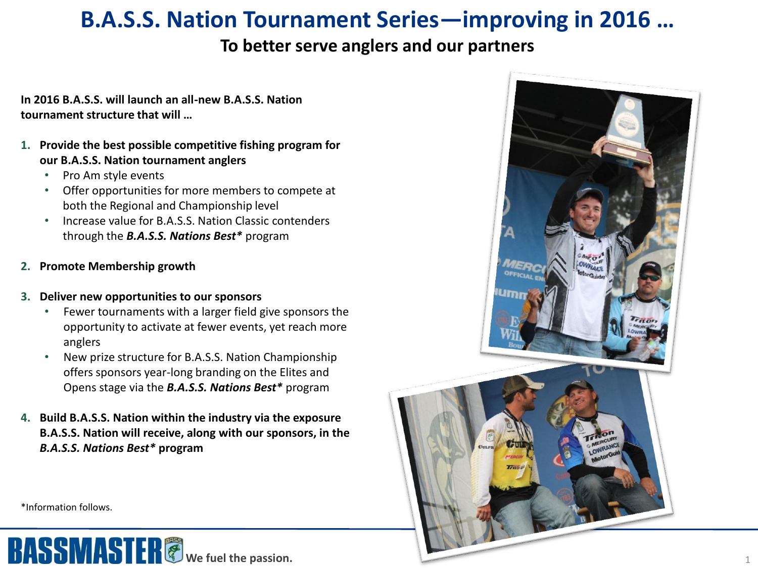# **B.A.S.S. Nation Tournament Series—improving in 2016 …**

## **To better serve anglers and our partners**

**In 2016 B.A.S.S. will launch an all-new B.A.S.S. Nation tournament structure that will …**

- **1. Provide the best possible competitive fishing program for our B.A.S.S. Nation tournament anglers**
	- Pro Am style events
	- Offer opportunities for more members to compete at both the Regional and Championship level
	- Increase value for B.A.S.S. Nation Classic contenders through the *B.A.S.S. Nations Best\** program
- **2. Promote Membership growth**

#### **3. Deliver new opportunities to our sponsors**

- Fewer tournaments with a larger field give sponsors the opportunity to activate at fewer events, yet reach more anglers
- New prize structure for B.A.S.S. Nation Championship offers sponsors year-long branding on the Elites and Opens stage via the *B.A.S.S. Nations Best\** program
- **4. Build B.A.S.S. Nation within the industry via the exposure B.A.S.S. Nation will receive, along with our sponsors, in the**  *B.A.S.S. Nations Best\** **program**



\*Information follows.

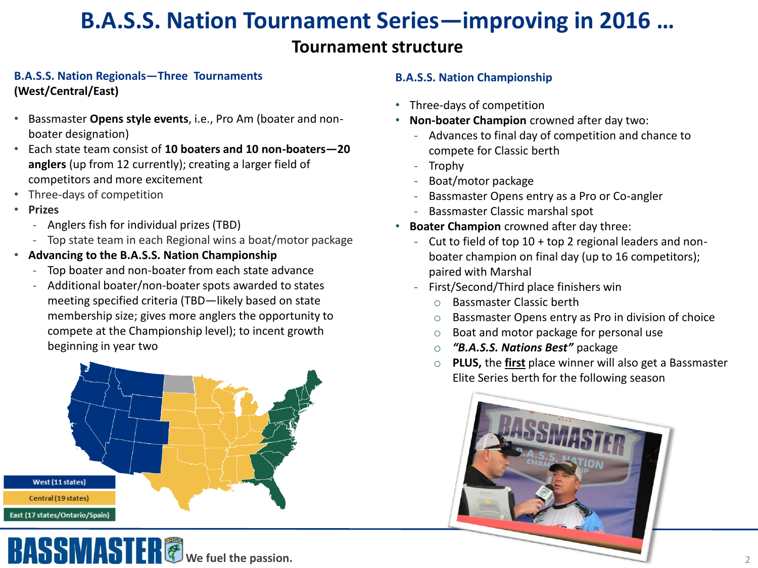# **B.A.S.S. Nation Tournament Series—improving in 2016 …**

### **Tournament structure**

#### **B.A.S.S. Nation Regionals—Three Tournaments (West/Central/East)**

- Bassmaster **Opens style events**, i.e., Pro Am (boater and nonboater designation)
- Each state team consist of **10 boaters and 10 non-boaters—20 anglers** (up from 12 currently); creating a larger field of competitors and more excitement
- Three-days of competition
- **Prizes**
	- ‐ Anglers fish for individual prizes (TBD)
	- ‐ Top state team in each Regional wins a boat/motor package
- **Advancing to the B.A.S.S. Nation Championship**
	- Top boater and non-boater from each state advance
	- ‐ Additional boater/non-boater spots awarded to states meeting specified criteria (TBD—likely based on state membership size; gives more anglers the opportunity to compete at the Championship level); to incent growth beginning in year two



#### **B.A.S.S. Nation Championship**

- Three-days of competition
- **Non-boater Champion** crowned after day two:
	- ‐ Advances to final day of competition and chance to compete for Classic berth
	- ‐ Trophy
	- ‐ Boat/motor package
	- ‐ Bassmaster Opens entry as a Pro or Co-angler
	- ‐ Bassmaster Classic marshal spot
- **Boater Champion** crowned after day three:
	- ‐ Cut to field of top 10 + top 2 regional leaders and nonboater champion on final day (up to 16 competitors); paired with Marshal
	- ‐ First/Second/Third place finishers win
		- o Bassmaster Classic berth
		- o Bassmaster Opens entry as Pro in division of choice
		- o Boat and motor package for personal use
		- o *"B.A.S.S. Nations Best"* package
		- o **PLUS,** the **first** place winner will also get a Bassmaster Elite Series berth for the following season